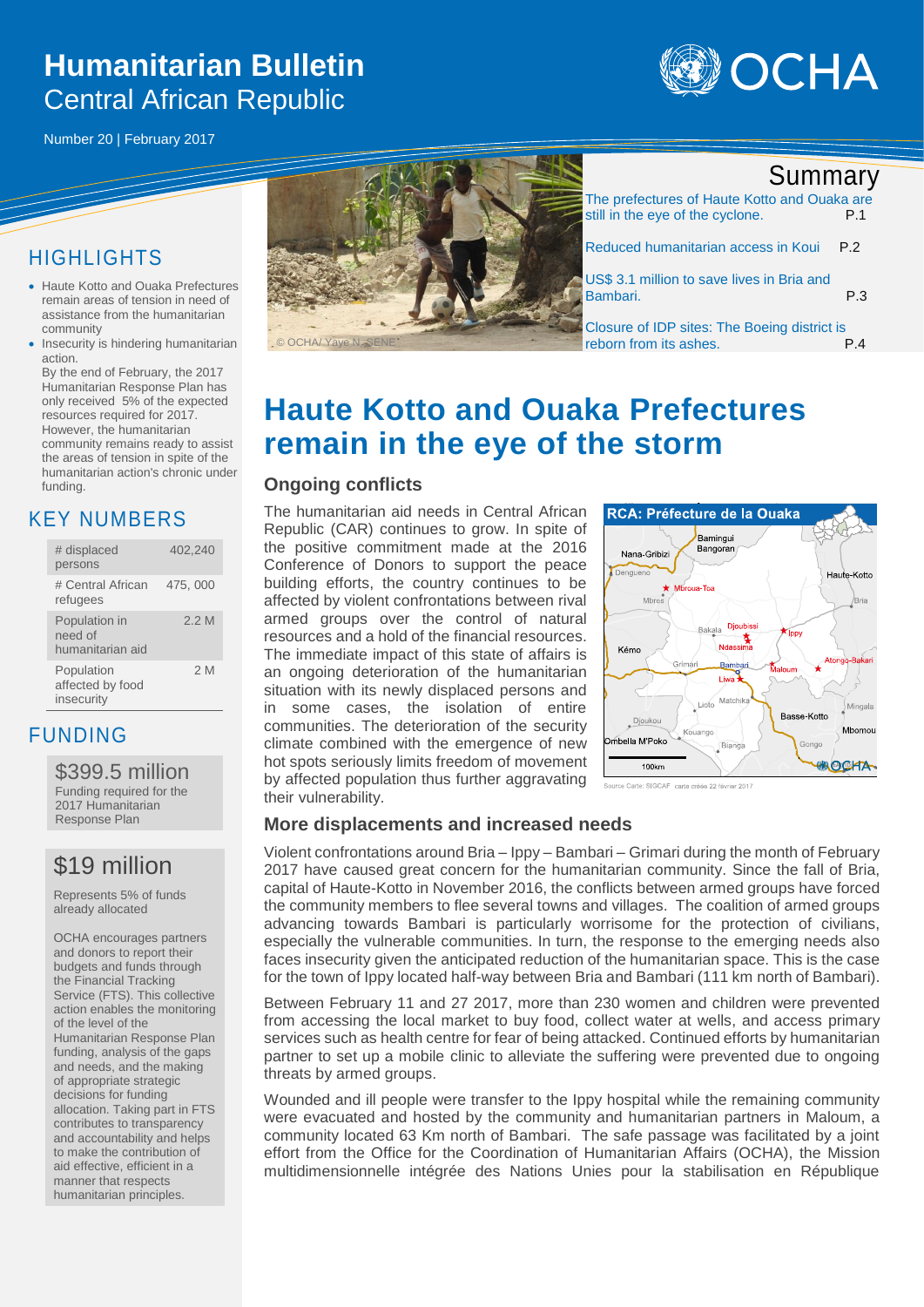# **Humanitarian Bulletin**  Central African Republic



Number 20 | February 2017

### HIGHLIGHTS

- Haute Kotto and Ouaka Prefectures remain areas of tension in need of assistance from the humanitarian community
- Insecurity is hindering humanitarian action.

By the end of February, the 2017 Humanitarian Response Plan has only received 5% of the expected resources required for 2017. However, the humanitarian community remains ready to assist the areas of tension in spite of the humanitarian action's chronic under funding.

### KEY NUMBERS

| # displaced<br>persons                       | 402,240 |
|----------------------------------------------|---------|
| # Central African<br>refugees                | 475,000 |
| Population in<br>need of<br>humanitarian aid | 2.2M    |
| Population<br>affected by food<br>insecurity | 2 M     |

### FUNDING

#### \$399.5 million

Funding required for the 2017 Humanitarian Response Plan

## \$19 million

Represents 5% of funds already allocated

OCHA encourages partners and donors to report their budgets and funds through the Financial Tracking Service (FTS). This collective action enables the monitoring of the level of the Humanitarian Response Plan funding, analysis of the gaps and needs, and the making of appropriate strategic decisions for funding allocation. Taking part in FTS contributes to transparency and accountability and helps to make the contribution of aid effective, efficient in a manner that respects humanitarian principles.



## Summary

| The prefectures of Haute Kotto and Ouaka are<br>still in the eye of the cyclone. | P 1 |
|----------------------------------------------------------------------------------|-----|
| Reduced humanitarian access in Koui                                              | P.2 |
| US\$ 3.1 million to save lives in Bria and<br>Bambari.                           | P.3 |
| Closure of IDP sites: The Boeing district is<br>reborn from its ashes.           |     |

# **Haute Kotto and Ouaka Prefectures remain in the eye of the storm**

#### **Ongoing conflicts**

The humanitarian aid needs in Central African Republic (CAR) continues to grow. In spite of the positive commitment made at the 2016 Conference of Donors to support the peace building efforts, the country continues to be affected by violent confrontations between rival armed groups over the control of natural resources and a hold of the financial resources. The immediate impact of this state of affairs is an ongoing deterioration of the humanitarian situation with its newly displaced persons and in some cases, the isolation of entire communities. The deterioration of the security climate combined with the emergence of new hot spots seriously limits freedom of movement by affected population thus further aggravating their vulnerability.



rce Carte: SIGCAF carte créée 22 février 2011

#### **More displacements and increased needs**

Violent confrontations around Bria – Ippy – Bambari – Grimari during the month of February 2017 have caused great concern for the humanitarian community. Since the fall of Bria, capital of Haute-Kotto in November 2016, the conflicts between armed groups have forced the community members to flee several towns and villages. The coalition of armed groups advancing towards Bambari is particularly worrisome for the protection of civilians, especially the vulnerable communities. In turn, the response to the emerging needs also faces insecurity given the anticipated reduction of the humanitarian space. This is the case for the town of Ippy located half-way between Bria and Bambari (111 km north of Bambari).

Between February 11 and 27 2017, more than 230 women and children were prevented from accessing the local market to buy food, collect water at wells, and access primary services such as health centre for fear of being attacked. Continued efforts by humanitarian partner to set up a mobile clinic to alleviate the suffering were prevented due to ongoing threats by armed groups.

Wounded and ill people were transfer to the Ippy hospital while the remaining community were evacuated and hosted by the community and humanitarian partners in Maloum, a community located 63 Km north of Bambari. The safe passage was facilitated by a joint effort from the Office for the Coordination of Humanitarian Affairs (OCHA), the Mission multidimensionnelle intégrée des Nations Unies pour la stabilisation en République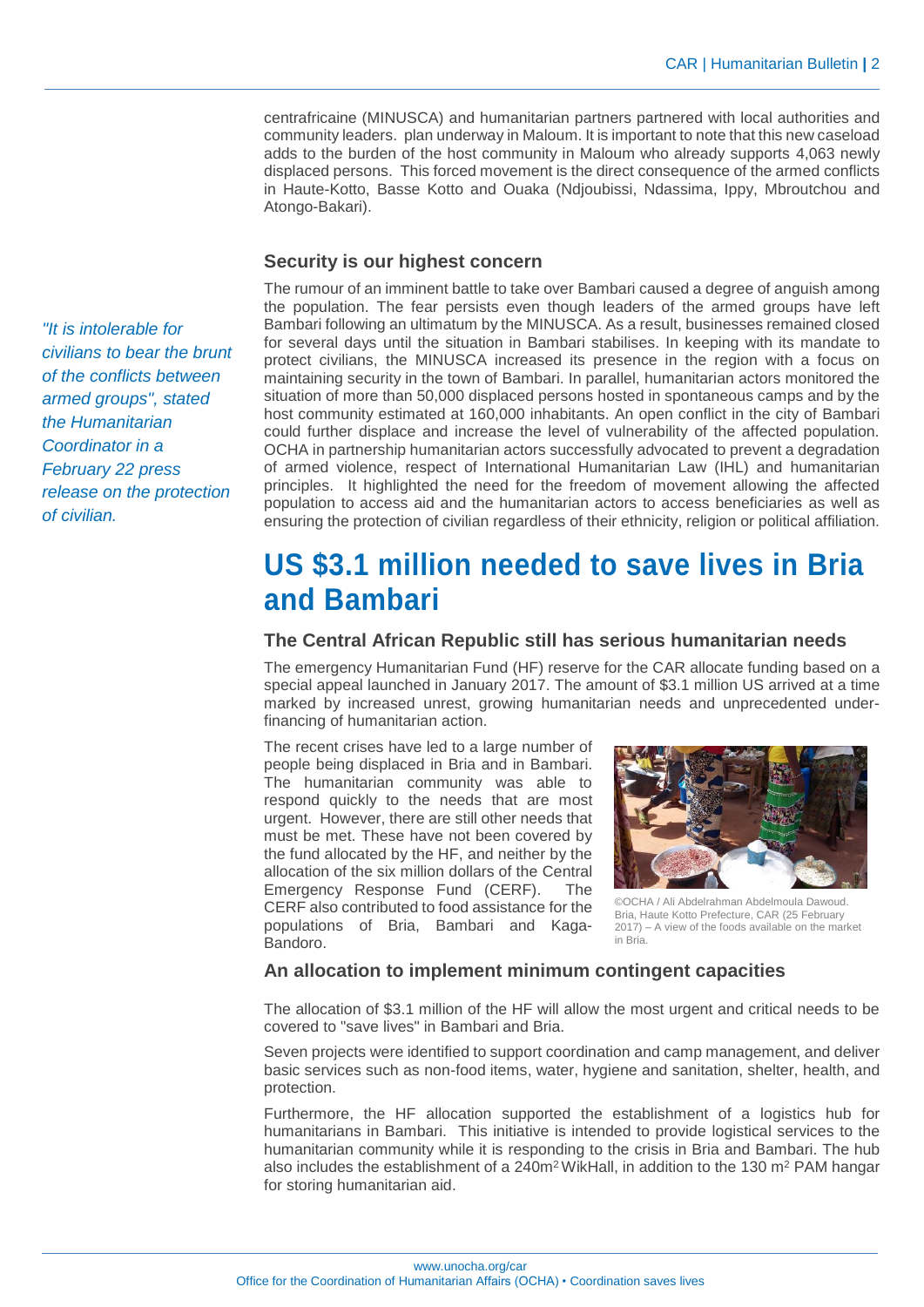centrafricaine (MINUSCA) and humanitarian partners partnered with local authorities and community leaders. plan underway in Maloum. It is important to note that this new caseload adds to the burden of the host community in Maloum who already supports 4,063 newly displaced persons. This forced movement is the direct consequence of the armed conflicts in Haute-Kotto, Basse Kotto and Ouaka (Ndjoubissi, Ndassima, Ippy, Mbroutchou and Atongo-Bakari).

#### **Security is our highest concern**

The rumour of an imminent battle to take over Bambari caused a degree of anguish among the population. The fear persists even though leaders of the armed groups have left Bambari following an ultimatum by the MINUSCA. As a result, businesses remained closed for several days until the situation in Bambari stabilises. In keeping with its mandate to protect civilians, the MINUSCA increased its presence in the region with a focus on maintaining security in the town of Bambari. In parallel, humanitarian actors monitored the situation of more than 50,000 displaced persons hosted in spontaneous camps and by the host community estimated at 160,000 inhabitants. An open conflict in the city of Bambari could further displace and increase the level of vulnerability of the affected population. OCHA in partnership humanitarian actors successfully advocated to prevent a degradation of armed violence, respect of International Humanitarian Law (IHL) and humanitarian principles. It highlighted the need for the freedom of movement allowing the affected population to access aid and the humanitarian actors to access beneficiaries as well as ensuring the protection of civilian regardless of their ethnicity, religion or political affiliation.

## **US \$3.1 million needed to save lives in Bria and Bambari**

#### **The Central African Republic still has serious humanitarian needs**

The emergency Humanitarian Fund (HF) reserve for the CAR allocate funding based on a special appeal launched in January 2017. The amount of \$3.1 million US arrived at a time marked by increased unrest, growing humanitarian needs and unprecedented underfinancing of humanitarian action.

The recent crises have led to a large number of people being displaced in Bria and in Bambari. The humanitarian community was able to respond quickly to the needs that are most urgent. However, there are still other needs that must be met. These have not been covered by the fund allocated by the HF, and neither by the allocation of the six million dollars of the Central Emergency Response Fund (CERF). The CERF also contributed to food assistance for the populations of Bria, Bambari and Kaga-Bandoro.



©OCHA / Ali Abdelrahman Abdelmoula Dawoud. Bria, Haute Kotto Prefecture, CAR (25 February 2017) – A view of the foods available on the market in Bria.

#### **An allocation to implement minimum contingent capacities**

The allocation of \$3.1 million of the HF will allow the most urgent and critical needs to be covered to "save lives" in Bambari and Bria.

Seven projects were identified to support coordination and camp management, and deliver basic services such as non-food items, water, hygiene and sanitation, shelter, health, and protection.

Furthermore, the HF allocation supported the establishment of a logistics hub for humanitarians in Bambari. This initiative is intended to provide logistical services to the humanitarian community while it is responding to the crisis in Bria and Bambari. The hub also includes the establishment of a  $240m^2$  WikHall, in addition to the 130 m<sup>2</sup> PAM hangar for storing humanitarian aid.

*"It is intolerable for civilians to bear the brunt of the conflicts between armed groups", stated the Humanitarian Coordinator in a February 22 press release on the protection of civilian.*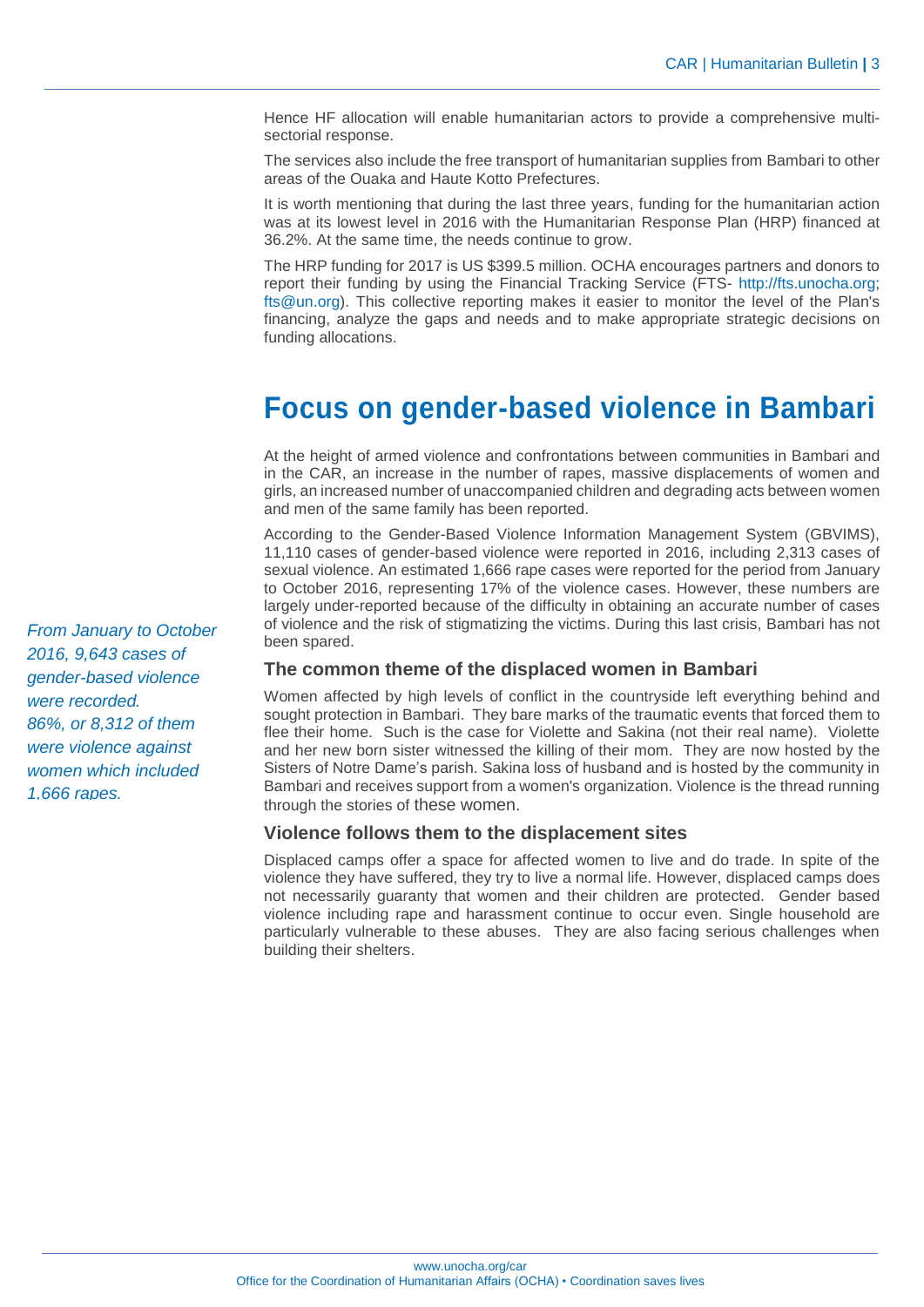Hence HF allocation will enable humanitarian actors to provide a comprehensive multisectorial response.

The services also include the free transport of humanitarian supplies from Bambari to other areas of the Ouaka and Haute Kotto Prefectures.

It is worth mentioning that during the last three years, funding for the humanitarian action was at its lowest level in 2016 with the Humanitarian Response Plan (HRP) financed at 36.2%. At the same time, the needs continue to grow.

The HRP funding for 2017 is US \$399.5 million. OCHA encourages partners and donors to report their funding by using the Financial Tracking Service (FTS- http://fts.unocha.org; fts@un.org). This collective reporting makes it easier to monitor the level of the Plan's financing, analyze the gaps and needs and to make appropriate strategic decisions on funding allocations.

## **Focus on gender-based violence in Bambari**

At the height of armed violence and confrontations between communities in Bambari and in the CAR, an increase in the number of rapes, massive displacements of women and girls, an increased number of unaccompanied children and degrading acts between women and men of the same family has been reported.

According to the Gender-Based Violence Information Management System (GBVIMS), 11,110 cases of gender-based violence were reported in 2016, including 2,313 cases of sexual violence. An estimated 1,666 rape cases were reported for the period from January to October 2016, representing 17% of the violence cases. However, these numbers are largely under-reported because of the difficulty in obtaining an accurate number of cases of violence and the risk of stigmatizing the victims. During this last crisis, Bambari has not been spared.

#### **The common theme of the displaced women in Bambari**

Women affected by high levels of conflict in the countryside left everything behind and sought protection in Bambari. They bare marks of the traumatic events that forced them to flee their home. Such is the case for Violette and Sakina (not their real name). Violette and her new born sister witnessed the killing of their mom. They are now hosted by the Sisters of Notre Dame's parish. Sakina loss of husband and is hosted by the community in Bambari and receives support from a women's organization. Violence is the thread running through the stories of these women.

#### **Violence follows them to the displacement sites**

Displaced camps offer a space for affected women to live and do trade. In spite of the violence they have suffered, they try to live a normal life. However, displaced camps does not necessarily guaranty that women and their children are protected. Gender based violence including rape and harassment continue to occur even. Single household are particularly vulnerable to these abuses. They are also facing serious challenges when building their shelters.

*From January to October 2016, 9,643 cases of gender-based violence were recorded. 86%, or 8,312 of them were violence against women which included 1,666 rapes.*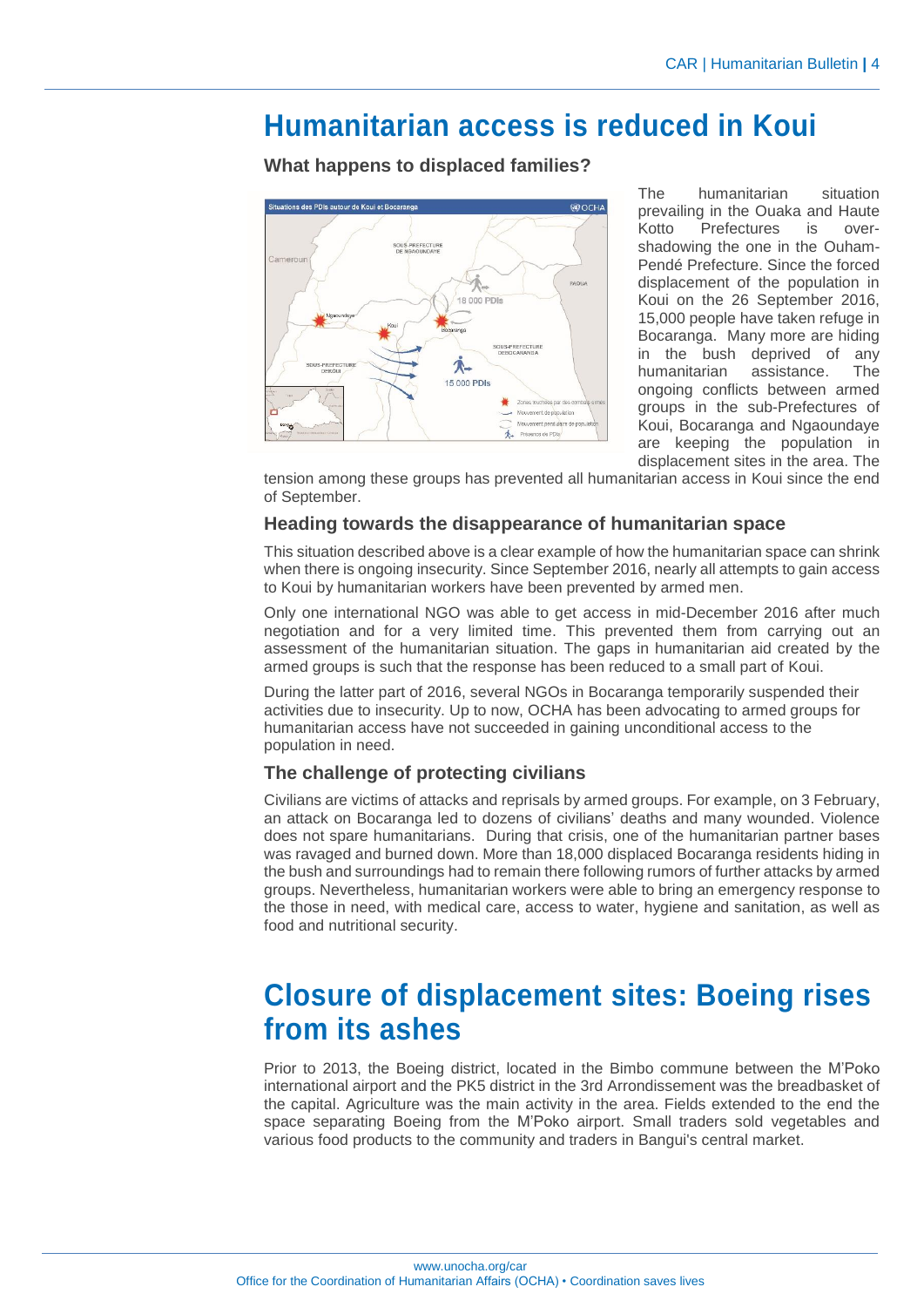## **Humanitarian access is reduced in Koui**

**What happens to displaced families?**



The humanitarian situation prevailing in the Ouaka and Haute Kotto Prefectures is overshadowing the one in the Ouham-Pendé Prefecture. Since the forced displacement of the population in Koui on the 26 September 2016, 15,000 people have taken refuge in Bocaranga. Many more are hiding in the bush deprived of any humanitarian assistance. The ongoing conflicts between armed groups in the sub-Prefectures of Koui, Bocaranga and Ngaoundaye are keeping the population in displacement sites in the area. The

tension among these groups has prevented all humanitarian access in Koui since the end of September.

#### **Heading towards the disappearance of humanitarian space**

This situation described above is a clear example of how the humanitarian space can shrink when there is ongoing insecurity. Since September 2016, nearly all attempts to gain access to Koui by humanitarian workers have been prevented by armed men.

Only one international NGO was able to get access in mid-December 2016 after much negotiation and for a very limited time. This prevented them from carrying out an assessment of the humanitarian situation. The gaps in humanitarian aid created by the armed groups is such that the response has been reduced to a small part of Koui.

During the latter part of 2016, several NGOs in Bocaranga temporarily suspended their activities due to insecurity. Up to now, OCHA has been advocating to armed groups for humanitarian access have not succeeded in gaining unconditional access to the population in need.

#### **The challenge of protecting civilians**

Civilians are victims of attacks and reprisals by armed groups. For example, on 3 February, an attack on Bocaranga led to dozens of civilians' deaths and many wounded. Violence does not spare humanitarians. During that crisis, one of the humanitarian partner bases was ravaged and burned down. More than 18,000 displaced Bocaranga residents hiding in the bush and surroundings had to remain there following rumors of further attacks by armed groups. Nevertheless, humanitarian workers were able to bring an emergency response to the those in need, with medical care, access to water, hygiene and sanitation, as well as food and nutritional security.

# **Closure of displacement sites: Boeing rises from its ashes**

Prior to 2013, the Boeing district, located in the Bimbo commune between the M'Poko international airport and the PK5 district in the 3rd Arrondissement was the breadbasket of the capital. Agriculture was the main activity in the area. Fields extended to the end the space separating Boeing from the M'Poko airport. Small traders sold vegetables and various food products to the community and traders in Bangui's central market.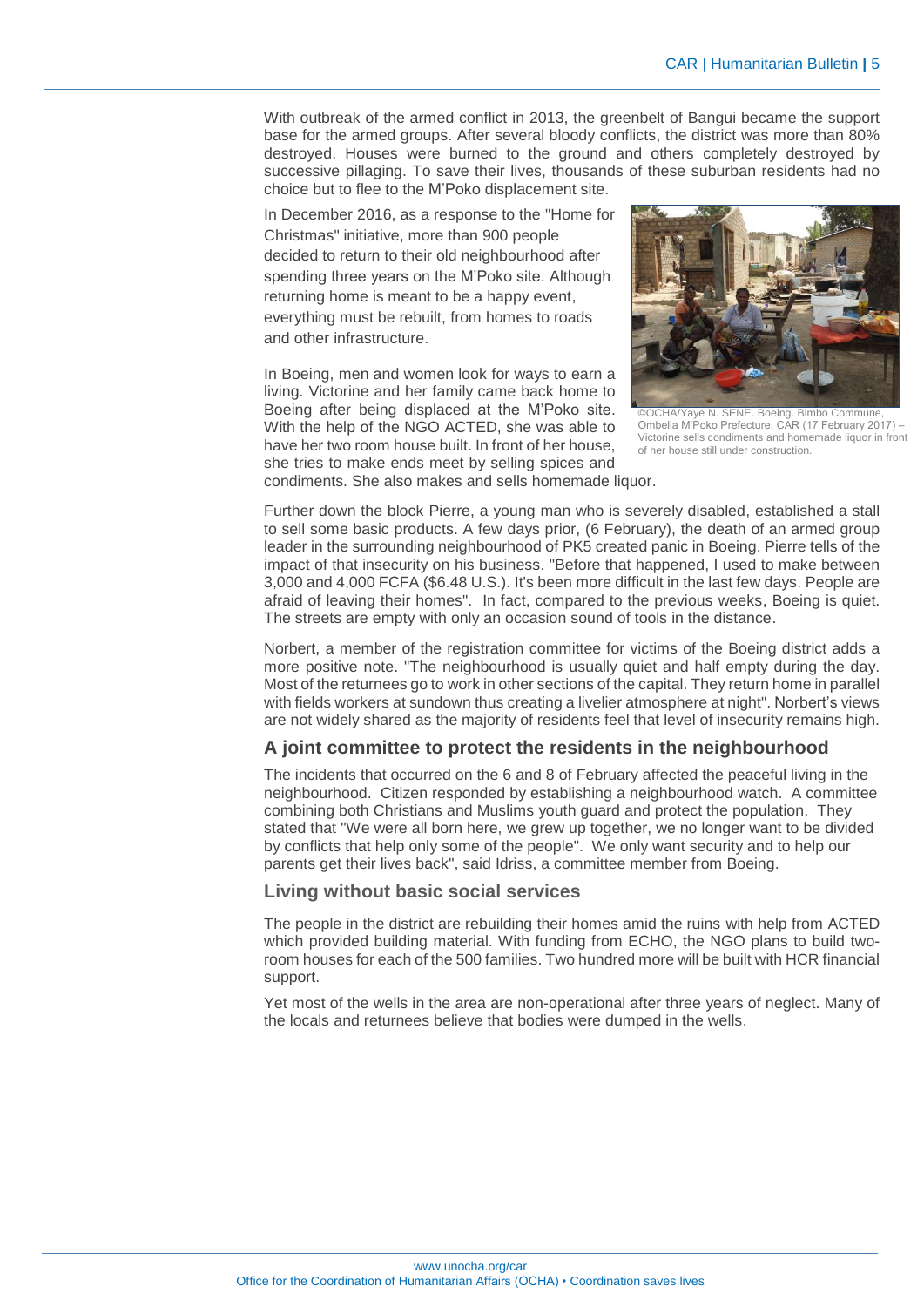With outbreak of the armed conflict in 2013, the greenbelt of Bangui became the support base for the armed groups. After several bloody conflicts, the district was more than 80% destroyed. Houses were burned to the ground and others completely destroyed by successive pillaging. To save their lives, thousands of these suburban residents had no choice but to flee to the M'Poko displacement site.

In December 2016, as a response to the "Home for Christmas" initiative, more than 900 people decided to return to their old neighbourhood after spending three years on the M'Poko site. Although returning home is meant to be a happy event, everything must be rebuilt, from homes to roads and other infrastructure.

In Boeing, men and women look for ways to earn a living. Victorine and her family came back home to Boeing after being displaced at the M'Poko site. With the help of the NGO ACTED, she was able to have her two room house built. In front of her house, she tries to make ends meet by selling spices and condiments. She also makes and sells homemade liquor.



OCHA/Yaye N. SENE. Boeing. Bimbo Commune Ombella M'Poko Prefecture, CAR (17 February 2017) – Victorine sells condiments and homemade liquor in front of her house still under construction.

Further down the block Pierre, a young man who is severely disabled, established a stall to sell some basic products. A few days prior, (6 February), the death of an armed group leader in the surrounding neighbourhood of PK5 created panic in Boeing. Pierre tells of the impact of that insecurity on his business. "Before that happened, I used to make between 3,000 and 4,000 FCFA (\$6.48 U.S.). It's been more difficult in the last few days. People are afraid of leaving their homes". In fact, compared to the previous weeks, Boeing is quiet. The streets are empty with only an occasion sound of tools in the distance.

Norbert, a member of the registration committee for victims of the Boeing district adds a more positive note. "The neighbourhood is usually quiet and half empty during the day. Most of the returnees go to work in other sections of the capital. They return home in parallel with fields workers at sundown thus creating a livelier atmosphere at night". Norbert's views are not widely shared as the majority of residents feel that level of insecurity remains high.

#### **A joint committee to protect the residents in the neighbourhood**

The incidents that occurred on the 6 and 8 of February affected the peaceful living in the neighbourhood. Citizen responded by establishing a neighbourhood watch. A committee combining both Christians and Muslims youth guard and protect the population. They stated that "We were all born here, we grew up together, we no longer want to be divided by conflicts that help only some of the people". We only want security and to help our parents get their lives back", said Idriss, a committee member from Boeing.

#### **Living without basic social services**

The people in the district are rebuilding their homes amid the ruins with help from ACTED which provided building material. With funding from ECHO, the NGO plans to build tworoom houses for each of the 500 families. Two hundred more will be built with HCR financial support.

Yet most of the wells in the area are non-operational after three years of neglect. Many of the locals and returnees believe that bodies were dumped in the wells.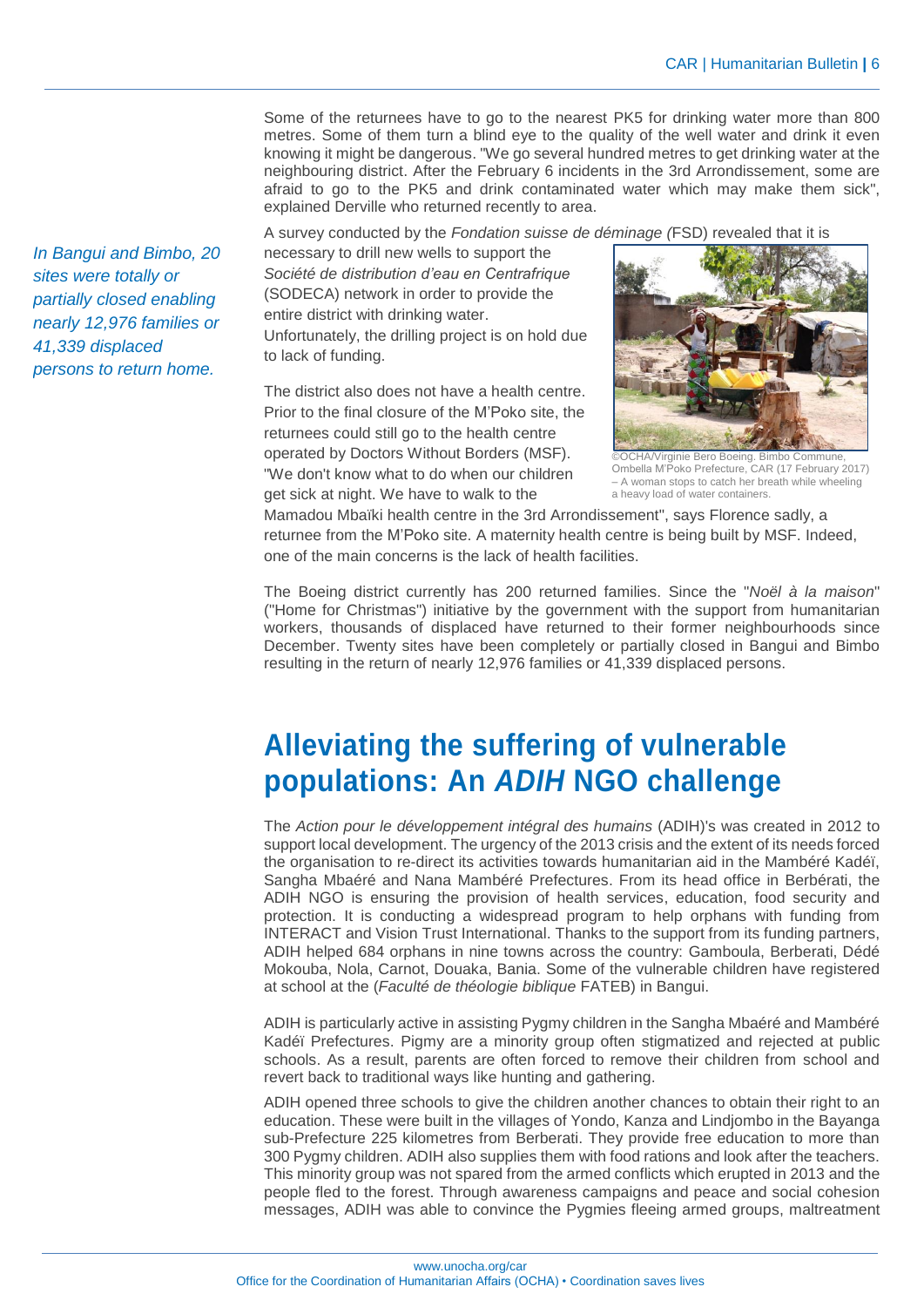Some of the returnees have to go to the nearest PK5 for drinking water more than 800 metres. Some of them turn a blind eye to the quality of the well water and drink it even knowing it might be dangerous. "We go several hundred metres to get drinking water at the neighbouring district. After the February 6 incidents in the 3rd Arrondissement, some are afraid to go to the PK5 and drink contaminated water which may make them sick", explained Derville who returned recently to area.

A survey conducted by the *Fondation suisse de déminage (*FSD) revealed that it is

necessary to drill new wells to support the *Société de distribution d'eau en Centrafrique* (SODECA) network in order to provide the entire district with drinking water. Unfortunately, the drilling project is on hold due to lack of funding.

The district also does not have a health centre. Prior to the final closure of the M'Poko site, the returnees could still go to the health centre operated by Doctors Without Borders (MSF). "We don't know what to do when our children get sick at night. We have to walk to the



©OCHA/Virginie Bero Boeing. Bimbo Commune, Ombella M'Poko Prefecture, CAR (17 February 2017) – A woman stops to catch her breath while wheeling a heavy load of water containers.

Mamadou Mbaïki health centre in the 3rd Arrondissement", says Florence sadly, a returnee from the M'Poko site. A maternity health centre is being built by MSF. Indeed, one of the main concerns is the lack of health facilities.

The Boeing district currently has 200 returned families. Since the "*Noël à la maison*" ("Home for Christmas") initiative by the government with the support from humanitarian workers, thousands of displaced have returned to their former neighbourhoods since December. Twenty sites have been completely or partially closed in Bangui and Bimbo resulting in the return of nearly 12,976 families or 41,339 displaced persons.

# **Alleviating the suffering of vulnerable populations: An** *ADIH* **NGO challenge**

The *Action pour le développement intégral des humains* (ADIH)'s was created in 2012 to support local development. The urgency of the 2013 crisis and the extent of its needs forced the organisation to re-direct its activities towards humanitarian aid in the Mambéré Kadéï, Sangha Mbaéré and Nana Mambéré Prefectures. From its head office in Berbérati, the ADIH NGO is ensuring the provision of health services, education, food security and protection. It is conducting a widespread program to help orphans with funding from INTERACT and Vision Trust International. Thanks to the support from its funding partners, ADIH helped 684 orphans in nine towns across the country: Gamboula, Berberati, Dédé Mokouba, Nola, Carnot, Douaka, Bania. Some of the vulnerable children have registered at school at the (*Faculté de théologie biblique* FATEB) in Bangui.

ADIH is particularly active in assisting Pygmy children in the Sangha Mbaéré and Mambéré Kadéï Prefectures. Pigmy are a minority group often stigmatized and rejected at public schools. As a result, parents are often forced to remove their children from school and revert back to traditional ways like hunting and gathering.

ADIH opened three schools to give the children another chances to obtain their right to an education. These were built in the villages of Yondo, Kanza and Lindjombo in the Bayanga sub-Prefecture 225 kilometres from Berberati. They provide free education to more than 300 Pygmy children. ADIH also supplies them with food rations and look after the teachers. This minority group was not spared from the armed conflicts which erupted in 2013 and the people fled to the forest. Through awareness campaigns and peace and social cohesion messages, ADIH was able to convince the Pygmies fleeing armed groups, maltreatment

*In Bangui and Bimbo, 20 sites were totally or partially closed enabling nearly 12,976 families or 41,339 displaced persons to return home.*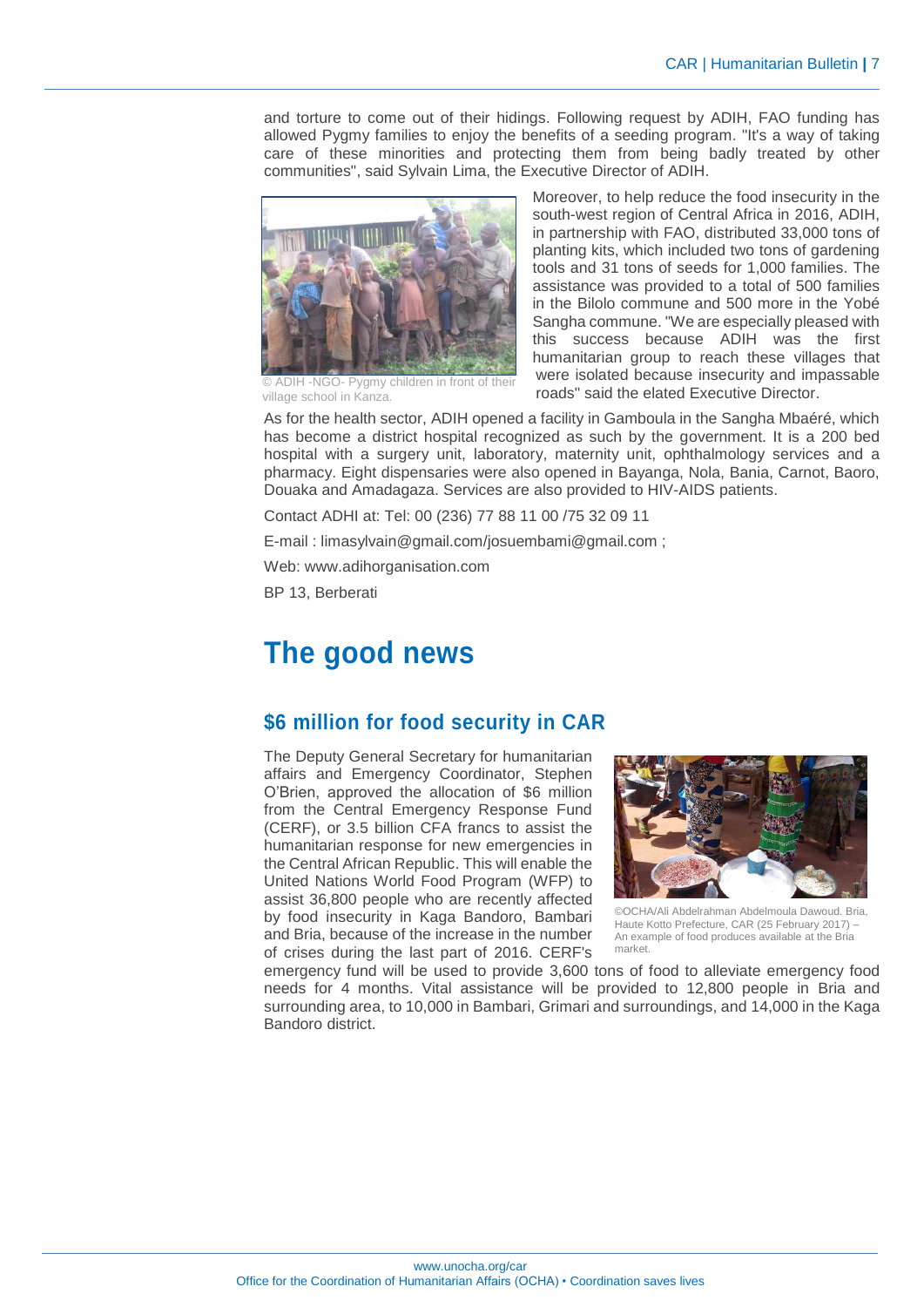and torture to come out of their hidings. Following request by ADIH, FAO funding has allowed Pygmy families to enjoy the benefits of a seeding program. "It's a way of taking care of these minorities and protecting them from being badly treated by other communities", said Sylvain Lima, the Executive Director of ADIH.



© ADIH -NGO- Pygmy children in front of their village school in Kanza.

Moreover, to help reduce the food insecurity in the south-west region of Central Africa in 2016, ADIH, in partnership with FAO, distributed 33,000 tons of planting kits, which included two tons of gardening tools and 31 tons of seeds for 1,000 families. The assistance was provided to a total of 500 families in the Bilolo commune and 500 more in the Yobé Sangha commune. "We are especially pleased with this success because ADIH was the first humanitarian group to reach these villages that were isolated because insecurity and impassable roads" said the elated Executive Director.

As for the health sector, ADIH opened a facility in Gamboula in the Sangha Mbaéré, which has become a district hospital recognized as such by the government. It is a 200 bed hospital with a surgery unit, laboratory, maternity unit, ophthalmology services and a pharmacy. Eight dispensaries were also opened in Bayanga, Nola, Bania, Carnot, Baoro, Douaka and Amadagaza. Services are also provided to HIV-AIDS patients.

Contact ADHI at: Tel: 00 (236) 77 88 11 00 /75 32 09 11

E-mail : limasylvain@gmail.com/josuembami@gmail.com ;

Web: www.adihorganisation.com

BP 13, Berberati

# **The good news**

### **\$6 million for food security in CAR**

The Deputy General Secretary for humanitarian affairs and Emergency Coordinator, Stephen O'Brien, approved the allocation of \$6 million from the Central Emergency Response Fund (CERF), or 3.5 billion CFA francs to assist the humanitarian response for new emergencies in the Central African Republic. This will enable the United Nations World Food Program (WFP) to assist 36,800 people who are recently affected by food insecurity in Kaga Bandoro, Bambari and Bria, because of the increase in the number of crises during the last part of 2016. CERF's



©OCHA/Ali Abdelrahman Abdelmoula Dawoud. Bria, Haute Kotto Prefecture, CAR (25 February 2017) – An example of food produces available at the Bria market.

emergency fund will be used to provide 3,600 tons of food to alleviate emergency food needs for 4 months. Vital assistance will be provided to 12,800 people in Bria and surrounding area, to 10,000 in Bambari, Grimari and surroundings, and 14,000 in the Kaga Bandoro district.